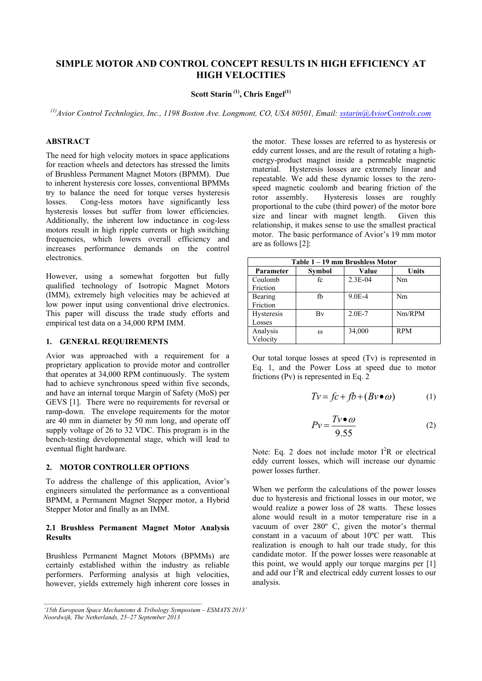# **SIMPLE MOTOR AND CONTROL CONCEPT RESULTS IN HIGH EFFICIENCY AT HIGH VELOCITIES**

# **Scott Starin (1), Chris Engel(1)**

*(1)Avior Control Technlogies, Inc., 1198 Boston Ave. Longmont, CO, USA 80501, Email: sstarin@AviorControls.com* 

# **ABSTRACT**

The need for high velocity motors in space applications for reaction wheels and detectors has stressed the limits of Brushless Permanent Magnet Motors (BPMM). Due to inherent hysteresis core losses, conventional BPMMs try to balance the need for torque verses hysteresis losses. Cong-less motors have significantly less hysteresis losses but suffer from lower efficiencies. Additionally, the inherent low inductance in cog-less motors result in high ripple currents or high switching frequencies, which lowers overall efficiency and increases performance demands on the control electronics.

However, using a somewhat forgotten but fully qualified technology of Isotropic Magnet Motors (IMM), extremely high velocities may be achieved at low power input using conventional drive electronics. This paper will discuss the trade study efforts and empirical test data on a 34,000 RPM IMM.

# **1. GENERAL REQUIREMENTS**

Avior was approached with a requirement for a proprietary application to provide motor and controller that operates at 34,000 RPM continuously. The system had to achieve synchronous speed within five seconds, and have an internal torque Margin of Safety (MoS) per GEVS [1]. There were no requirements for reversal or ramp-down. The envelope requirements for the motor are 40 mm in diameter by 50 mm long, and operate off supply voltage of 26 to 32 VDC. This program is in the bench-testing developmental stage, which will lead to eventual flight hardware.

#### **2. MOTOR CONTROLLER OPTIONS**

To address the challenge of this application, Avior's engineers simulated the performance as a conventional BPMM, a Permanent Magnet Stepper motor, a Hybrid Stepper Motor and finally as an IMM.

## **2.1 Brushless Permanent Magnet Motor Analysis Results**

Brushless Permanent Magnet Motors (BPMMs) are certainly established within the industry as reliable performers. Performing analysis at high velocities, however, yields extremely high inherent core losses in

 $\mathcal{L}_\mathcal{L} = \{ \mathcal{L}_\mathcal{L} = \{ \mathcal{L}_\mathcal{L} \}$ 

the motor. These losses are referred to as hysteresis or eddy current losses, and are the result of rotating a highenergy-product magnet inside a permeable magnetic material. Hysteresis losses are extremely linear and repeatable. We add these dynamic losses to the zerospeed magnetic coulomb and bearing friction of the rotor assembly. Hysteresis losses are roughly proportional to the cube (third power) of the motor bore size and linear with magnet length. Given this relationship, it makes sense to use the smallest practical motor. The basic performance of Avior's 19 mm motor are as follows [2]:

| Table 1 – 19 mm Brushless Motor |               |            |            |  |
|---------------------------------|---------------|------------|------------|--|
| Parameter                       | <b>Symbol</b> | Value      | Units      |  |
| Coulomb                         | fc            | $2.3E-04$  | Nm         |  |
| Friction                        |               |            |            |  |
| Bearing                         | fb            | 9.0E-4     | Nm         |  |
| Friction                        |               |            |            |  |
| Hysteresis                      | Bv            | $2.0E - 7$ | Nm/RPM     |  |
| Losses                          |               |            |            |  |
| Analysis                        | ω             | 34,000     | <b>RPM</b> |  |
| Velocity                        |               |            |            |  |

Our total torque losses at speed (Tv) is represented in Eq. 1, and the Power Loss at speed due to motor frictions (Pv) is represented in Eq. 2

$$
Tv = fc + fb + (Bv \bullet \omega)
$$
 (1)

$$
Pv = \frac{Tv \bullet \omega}{9.55} \tag{2}
$$

Note: Eq. 2 does not include motor  $I^2R$  or electrical eddy current losses, which will increase our dynamic power losses further.

When we perform the calculations of the power losses due to hysteresis and frictional losses in our motor, we would realize a power loss of 28 watts. These losses alone would result in a motor temperature rise in a vacuum of over 280º C, given the motor's thermal constant in a vacuum of about 10ºC per watt. This realization is enough to halt our trade study, for this candidate motor. If the power losses were reasonable at this point, we would apply our torque margins per [1] and add our I<sup>2</sup>R and electrical eddy current losses to our analysis.

*<sup>&#</sup>x27;15th European Space Mechanisms & Tribology Symposium – ESMATS 2013' Noordwijk, The Netherlands, 25–27 September 2013*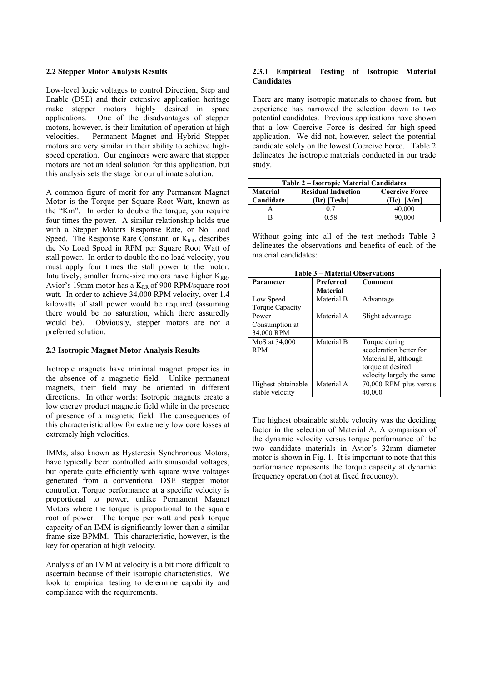### **2.2 Stepper Motor Analysis Results**

Low-level logic voltages to control Direction, Step and Enable (DSE) and their extensive application heritage make stepper motors highly desired in space applications. One of the disadvantages of stepper motors, however, is their limitation of operation at high velocities. Permanent Magnet and Hybrid Stepper motors are very similar in their ability to achieve highspeed operation. Our engineers were aware that stepper motors are not an ideal solution for this application, but this analysis sets the stage for our ultimate solution.

A common figure of merit for any Permanent Magnet Motor is the Torque per Square Root Watt, known as the "Km". In order to double the torque, you require four times the power. A similar relationship holds true with a Stepper Motors Response Rate, or No Load Speed. The Response Rate Constant, or  $K_{RR}$ , describes the No Load Speed in RPM per Square Root Watt of stall power. In order to double the no load velocity, you must apply four times the stall power to the motor. Intuitively, smaller frame-size motors have higher  $K_{RR}$ . Avior's 19mm motor has a  $K_{RR}$  of 900 RPM/square root watt. In order to achieve 34,000 RPM velocity, over 1.4 kilowatts of stall power would be required (assuming there would be no saturation, which there assuredly would be). Obviously, stepper motors are not a preferred solution.

## **2.3 Isotropic Magnet Motor Analysis Results**

Isotropic magnets have minimal magnet properties in the absence of a magnetic field. Unlike permanent magnets, their field may be oriented in different directions. In other words: Isotropic magnets create a low energy product magnetic field while in the presence of presence of a magnetic field. The consequences of this characteristic allow for extremely low core losses at extremely high velocities.

IMMs, also known as Hysteresis Synchronous Motors, have typically been controlled with sinusoidal voltages, but operate quite efficiently with square wave voltages generated from a conventional DSE stepper motor controller. Torque performance at a specific velocity is proportional to power, unlike Permanent Magnet Motors where the torque is proportional to the square root of power. The torque per watt and peak torque capacity of an IMM is significantly lower than a similar frame size BPMM. This characteristic, however, is the key for operation at high velocity.

Analysis of an IMM at velocity is a bit more difficult to ascertain because of their isotropic characteristics. We look to empirical testing to determine capability and compliance with the requirements.

## **2.3.1 Empirical Testing of Isotropic Material Candidates**

There are many isotropic materials to choose from, but experience has narrowed the selection down to two potential candidates. Previous applications have shown that a low Coercive Force is desired for high-speed application. We did not, however, select the potential candidate solely on the lowest Coercive Force. Table 2 delineates the isotropic materials conducted in our trade study.

| <b>Table 2 – Isotropic Material Candidates</b> |                                           |                                         |  |  |
|------------------------------------------------|-------------------------------------------|-----------------------------------------|--|--|
| Material<br>Candidate                          | <b>Residual Induction</b><br>(Br) [Tesla] | <b>Coercive Force</b><br>$(Hc)$ $[A/m]$ |  |  |
|                                                | 07                                        | 40.000                                  |  |  |
|                                                | በ ናጸ                                      | 90.000                                  |  |  |

Without going into all of the test methods Table 3 delineates the observations and benefits of each of the material candidates:

| <b>Table 3 – Material Observations</b> |                  |                           |  |  |
|----------------------------------------|------------------|---------------------------|--|--|
| Parameter                              | <b>Preferred</b> | Comment                   |  |  |
|                                        | <b>Material</b>  |                           |  |  |
| Low Speed                              | Material B       | Advantage                 |  |  |
| <b>Torque Capacity</b>                 |                  |                           |  |  |
| Power                                  | Material A       | Slight advantage          |  |  |
| Consumption at                         |                  |                           |  |  |
| 34,000 RPM                             |                  |                           |  |  |
| MoS at 34,000                          | Material B       | Torque during             |  |  |
| <b>RPM</b>                             |                  | acceleration better for   |  |  |
|                                        |                  | Material B, although      |  |  |
|                                        |                  | torque at desired         |  |  |
|                                        |                  | velocity largely the same |  |  |
| Highest obtainable                     | Material A       | 70,000 RPM plus versus    |  |  |
| stable velocity                        |                  | 40,000                    |  |  |

The highest obtainable stable velocity was the deciding factor in the selection of Material A. A comparison of the dynamic velocity versus torque performance of the two candidate materials in Avior's 32mm diameter motor is shown in Fig. 1. It is important to note that this performance represents the torque capacity at dynamic frequency operation (not at fixed frequency).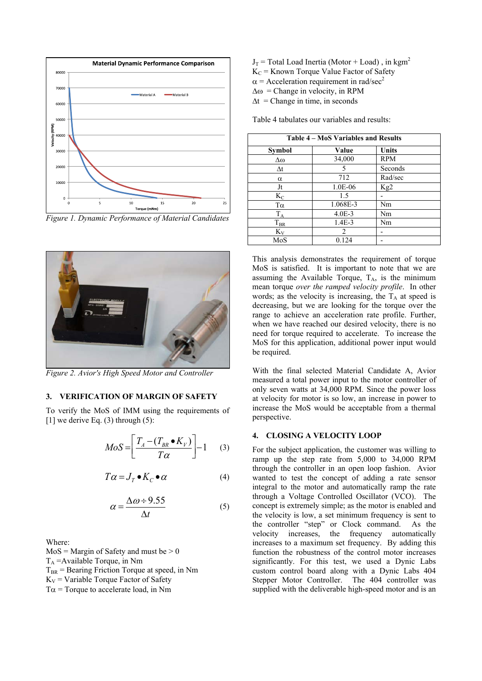

*Figure 1. Dynamic Performance of Material Candidates* 



*Figure 2. Avior's High Speed Motor and Controller* 

### **3. VERIFICATION OF MARGIN OF SAFETY**

To verify the MoS of IMM using the requirements of  $[1]$  we derive Eq. (3) through (5):

$$
MoS = \left[\frac{T_A - (T_{BR} \bullet K_V)}{T\alpha}\right] - 1 \quad (3)
$$

$$
T\alpha = J_T \bullet K_C \bullet \alpha \tag{4}
$$

$$
\alpha = \frac{\Delta \omega \div 9.55}{\Delta t} \tag{5}
$$

Where:

 $MoS = Margin of Safety and must be > 0$  $T_A$  = Available Torque, in Nm  $T_{BR}$  = Bearing Friction Torque at speed, in Nm  $K_V$  = Variable Torque Factor of Safety  $T\alpha$  = Torque to accelerate load, in Nm

- $J_T$  = Total Load Inertia (Motor + Load), in kgm<sup>2</sup>  $K_C$  = Known Torque Value Factor of Safety  $\alpha$  = Acceleration requirement in rad/sec<sup>2</sup>  $\Delta \omega$  = Change in velocity, in RPM
- $\Delta t$  = Change in time, in seconds

Table 4 tabulates our variables and results:

| Table 4 - MoS Variables and Results |          |                 |  |  |
|-------------------------------------|----------|-----------------|--|--|
| <b>Symbol</b>                       | Value    | Units           |  |  |
| Δω                                  | 34,000   | <b>RPM</b>      |  |  |
| $\Delta t$                          | 5        | Seconds         |  |  |
| α                                   | 712      | Rad/sec         |  |  |
| Jt                                  | 1.0E-06  | Kg <sub>2</sub> |  |  |
| $K_C$                               | 1.5      |                 |  |  |
| Tα                                  | 1.068E-3 | Nm              |  |  |
| $T_A$                               | $4.0E-3$ | Nm              |  |  |
| $T_{\rm BR}$                        | $1.4E-3$ | Nm              |  |  |
| $K_{V}$                             | 2        |                 |  |  |
| MoS                                 | 0.124    |                 |  |  |

This analysis demonstrates the requirement of torque MoS is satisfied. It is important to note that we are assuming the Available Torque,  $T_A$ , is the minimum mean torque *over the ramped velocity profile*. In other words; as the velocity is increasing, the  $T_A$  at speed is decreasing, but we are looking for the torque over the range to achieve an acceleration rate profile. Further, when we have reached our desired velocity, there is no need for torque required to accelerate. To increase the MoS for this application, additional power input would be required.

With the final selected Material Candidate A, Avior measured a total power input to the motor controller of only seven watts at 34,000 RPM. Since the power loss at velocity for motor is so low, an increase in power to increase the MoS would be acceptable from a thermal perspective.

#### **4. CLOSING A VELOCITY LOOP**

For the subject application, the customer was willing to ramp up the step rate from 5,000 to 34,000 RPM through the controller in an open loop fashion. Avior wanted to test the concept of adding a rate sensor integral to the motor and automatically ramp the rate through a Voltage Controlled Oscillator (VCO). The concept is extremely simple; as the motor is enabled and the velocity is low, a set minimum frequency is sent to the controller "step" or Clock command. As the velocity increases, the frequency automatically increases to a maximum set frequency. By adding this function the robustness of the control motor increases significantly. For this test, we used a Dynic Labs custom control board along with a Dynic Labs 404 Stepper Motor Controller. The 404 controller was supplied with the deliverable high-speed motor and is an